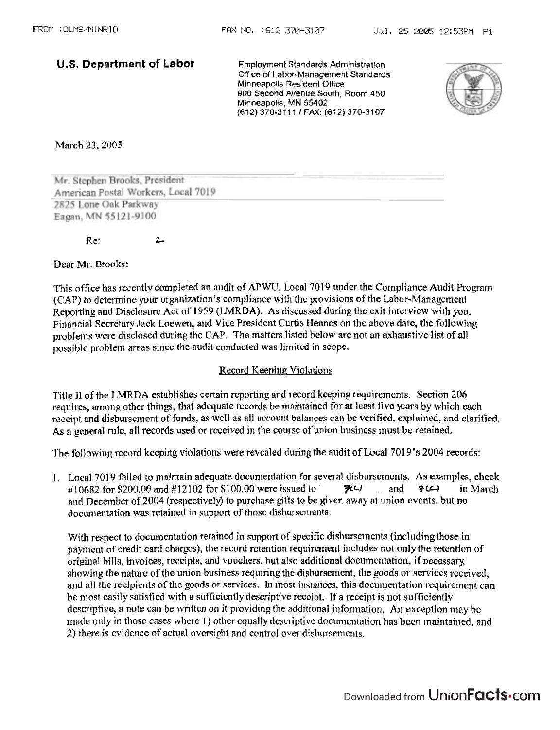**U.S. Department of Labor Employment Standards Admlnlstratlon Office of Labor-Management Standards Minneapolis Resident Office 900 Second Avenue South, Room 450 Minneapolis, MN 55402 (61 2) 370-31** 1 1 1 **FAX: (67 2) 370-31 07** 



March 23.2005

Mr. Stephen Brooks, President American Postal Workers, Local 7019 2825 Lone Oak Parkway Eagan, MN 55121-9100

Re: **t** 

**Dear** Mr. Brooks:

This office has recently completed an audit of APWU, Local 7019 under the Compliance Audit Program (CAP) to determine your organization's compliance with the provisions of the Labor-Management Reporting and Disclosure Act of 1959 (LMRDA). As discussed during the exit interview with you. Financial Sccretaxy Jack **Loewen,** and Vice President Curtis Henncs on the **above** datc, the following problems were disclosed during the CAP. The matters listed below are not an exhaustive list of all possible problem areas since the audit conducted was limited in scope.

## **Record Keeping Violations**

Title II of the LMRDA establishes certain reporting and record keeping requirements. Section 206 requires, among other things, that adequate records be maintained for at least five years by which each receipt and disbursement of funds, as well as all account balances can be verified, explained, and clarified. As a general rulc, all records used or rcccived in the coursc of union busincss must **be** retained.

The following record kceping violations were revcaled during the audit of Local 7019's 2004 records:

1. Local 7019 failed to maintain adequate documentation for several disburscrncnts, As examples, check # 1 *0482* for \$200.00 and # 1 2 102 for ffi 100.00 were issued to **FcJ** ... and **?LC)** in March and December of 2004 (respectively) to purchase gifts to be given away at union events, but no documentation was retained in support of those disbursements.

With respect to documentation retained in support of specific disbursements (including those in payment of credit card charges), the record retention requirement includes not only the retention of original hills, invoices, rcccipts, and vouchers, but also additional docurncntation, if **necessary**  showing the nature of the union business requiring the disburscment, the goods or services received, and all the recipients of the goods or services. In most instances, this documentation requirement can be most easily satisfied with a sufficiently descriptive receipt. If a receipt is not sufficiently descriptive, a note can be written on it providing the additional information. An exception may be made only in those cases where 1) other equally descriptive documentation has been maintained, and 2) there is cvidence of actual oversight and control over disbursements.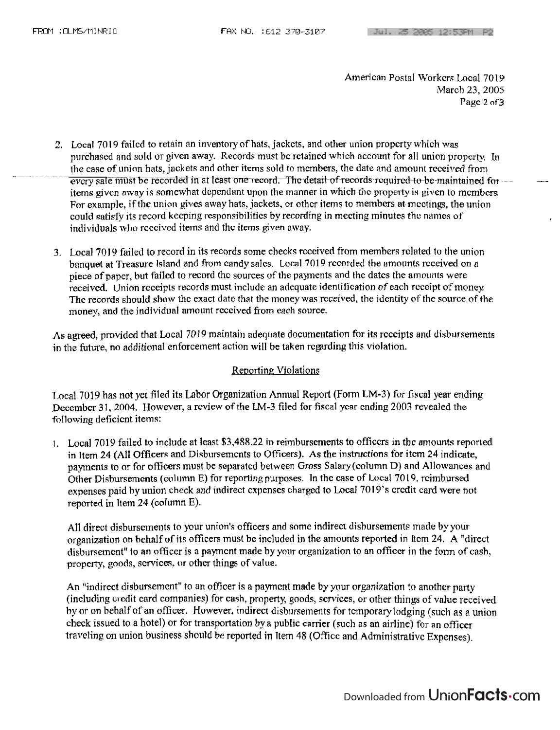American Postal Workers Local 7019 **March** 23.2005 **Puge** 2 **of3** 

- 2. Local 7019 failed to retain an inventory of hats, jackets, and other union property which was purchased and sold or given away. Records must be retained which account for all union property. In the case of union hats, jackets and other items sold to members, the date and amount received from<br>every sale must be recorded in at least one record. The detail of records required to be maintained foritems given away is somewhat dependant upon the manner in which the property is given to members For exalnple, if thc union gives away **hats,** jackets, or othcr **items** to membcrs at meetings, the union could **sntisry** its record kccping responsibilities by recording in mccting minutes **tho** names of <sup>t</sup> individuals who reccived items and the items given away.
- **3.** Local **70 19** failed to record in its records some checks rcccived from membcrs rclnted to the union banquet at Treasure Island and from candy sales. Local 7019 recorded the amounts received on a piece of paper, but failed to record the sources of the payments and the dates the amounts were received. Union receipts records must include an adequate identification of each receipt of money. Thc records should **show** thc cxact date that thc money **was** received, the identity **ol'thc source** of the money, and the individual amount rcccivcd from each source.

As agreed, provided that Local 7019 maintain adequate documentation for its receipts and disbursements in the future, no additional enforcement action will be taken regarding this violation.

## Reporting Violations

Local 7019 has not yet filed its Labor Organization Annual Report (Form LM-3) for **fiscal** year ending December **3** 1, 2004. However, a rcvicw of the LM-3 filed for fiscal ycar cnding 2003 revealed **the**  following deficient items:

I. Local **7019** failed to include ut least \$3,488.22 **in** reimbursements to officcrs in thc amounts reported in Item 24 (All Officers and Disbursements to Officers). As the instructions for item 24 indicate, payments to or for **oficers** must be separated between Gross Salwy(column D) and Allowunces and Other Disbursements (column E) for reporting purposes. In the case of Local 7019, reimbursed expenses paid by union check and indirect expenses charged to **Local 7019's credit card were not** reported in Item 24 (column E).

All direct disbursements to your union's officers and some indirect disbursements made by your organization on hehalf of its officers **must** hc included in the amounts **reported** in licm 24. **A** "direct disbursement" to an officer is a payment made by your organization to an officer in the form of cash, property, goods, services, **or** othcr things of **value.** 

An "indirect disbursemcnt" to an officer is a paymcnt made by your organization to anothcr party (including credit cnrd companies) for **cash,** property, goods, scrvjces, or other things of value received by or on behalf of an officer. However, indirect disbursements for temporarylodging (such as a union check issued to a hotel) or for transportation by a public carrier (such as an airline) for **an** officcr traveling on union business should be **reported in** Item **48** (Oficc and Administrative **Expenses).**